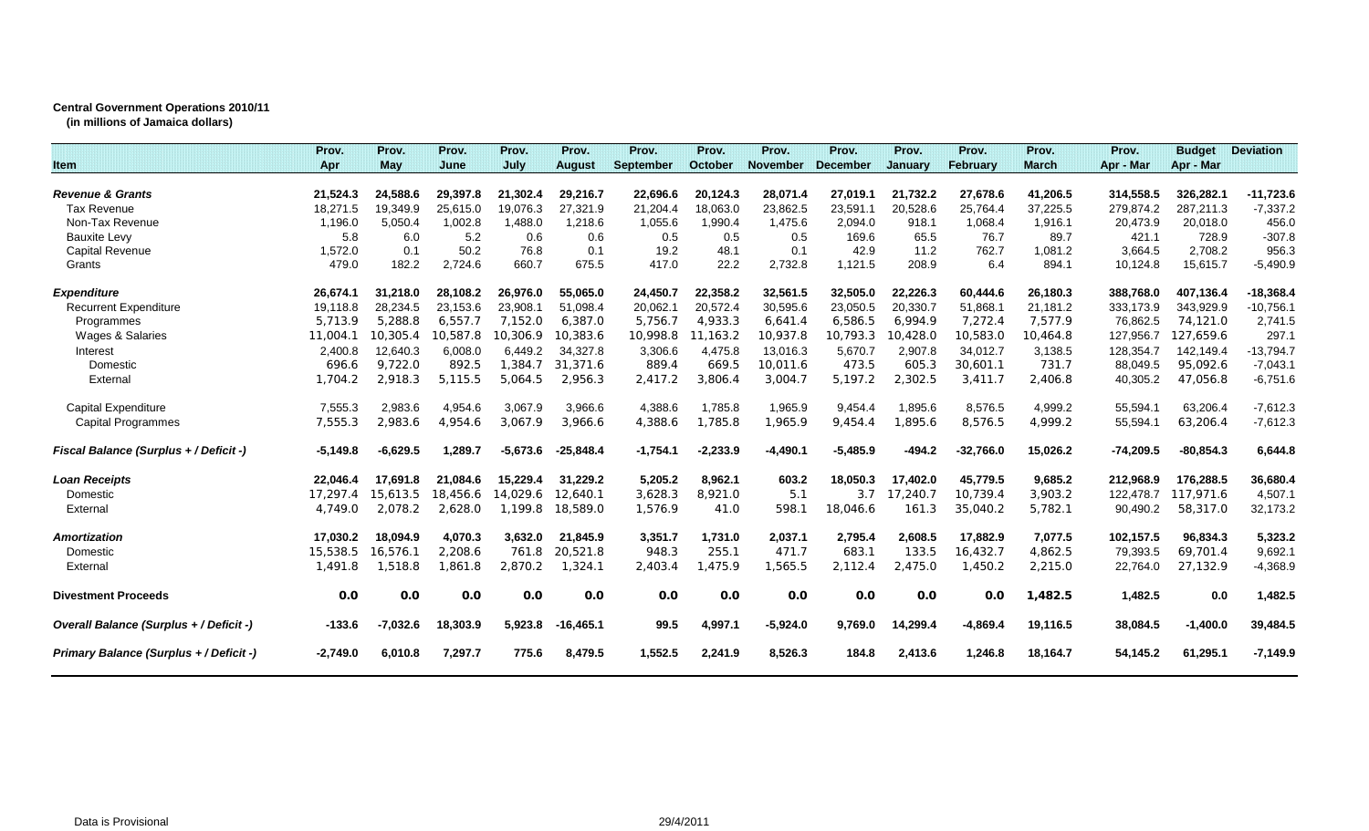## **Central Government Operations 2010/11**

**(in millions of Jamaica dollars)**

|                                               | Prov.      | Prov.      | Prov.    | Prov.      | Prov.         | Prov.            | Prov.          | Prov.           | Prov.           | Prov.          | Prov.       | Prov.        | Prov.       | <b>Budget</b> | <b>Deviation</b> |
|-----------------------------------------------|------------|------------|----------|------------|---------------|------------------|----------------|-----------------|-----------------|----------------|-------------|--------------|-------------|---------------|------------------|
| <b>Item</b>                                   | Apr        | <b>May</b> | June     | July       | <b>August</b> | <b>September</b> | <b>October</b> | <b>November</b> | <b>December</b> | <b>January</b> | February    | <b>March</b> | Apr - Mar   | Apr - Mar     |                  |
|                                               |            |            |          |            |               |                  |                |                 |                 |                |             |              |             |               |                  |
| <b>Revenue &amp; Grants</b>                   | 21,524.3   | 24,588.6   | 29,397.8 | 21,302.4   | 29,216.7      | 22,696.6         | 20,124.3       | 28,071.4        | 27.019.1        | 21,732.2       | 27,678.6    | 41,206.5     | 314,558.5   | 326,282.1     | $-11,723.6$      |
| <b>Tax Revenue</b>                            | 18.271.5   | 19.349.9   | 25.615.0 | 19.076.3   | 27.321.9      | 21,204.4         | 18.063.0       | 23,862.5        | 23.591.1        | 20.528.6       | 25.764.4    | 37.225.5     | 279.874.2   | 287.211.3     | $-7,337.2$       |
| Non-Tax Revenue                               | 1,196.0    | 5,050.4    | 1.002.8  | 1.488.0    | 1,218.6       | 1,055.6          | 1,990.4        | 1,475.6         | 2,094.0         | 918.1          | 1,068.4     | 1,916.1      | 20,473.9    | 20,018.0      | 456.0            |
| <b>Bauxite Levy</b>                           | 5.8        | 6.0        | 5.2      | 0.6        | 0.6           | 0.5              | 0.5            | 0.5             | 169.6           | 65.5           | 76.7        | 89.7         | 421.1       | 728.9         | $-307.8$         |
| <b>Capital Revenue</b>                        | 1.572.0    | 0.1        | 50.2     | 76.8       | 0.1           | 19.2             | 48.1           | 0.1             | 42.9            | 11.2           | 762.7       | 1,081.2      | 3.664.5     | 2.708.2       | 956.3            |
| Grants                                        | 479.0      | 182.2      | 2,724.6  | 660.7      | 675.5         | 417.0            | 22.2           | 2,732.8         | 1,121.5         | 208.9          | 6.4         | 894.1        | 10,124.8    | 15,615.7      | $-5,490.9$       |
| <b>Expenditure</b>                            | 26,674.1   | 31,218.0   | 28,108.2 | 26,976.0   | 55,065.0      | 24,450.7         | 22,358.2       | 32,561.5        | 32,505.0        | 22,226.3       | 60,444.6    | 26,180.3     | 388,768.0   | 407,136.4     | $-18,368.4$      |
| <b>Recurrent Expenditure</b>                  | 19,118.8   | 28,234.5   | 23.153.6 | 23,908.1   | 51,098.4      | 20,062.7         | 20,572.4       | 30,595.6        | 23,050.5        | 20,330.7       | 51,868.1    | 21,181.2     | 333,173.9   | 343,929.9     | $-10,756.1$      |
| Programmes                                    | 5,713.9    | 5,288.8    | 6,557.7  | 7,152.0    | 6,387.0       | 5,756.7          | 4,933.3        | 6,641.4         | 6,586.5         | 6,994.9        | 7,272.4     | 7,577.9      | 76,862.5    | 74,121.0      | 2,741.5          |
| Wages & Salaries                              | 11.004.1   | 10.305.4   | 10.587.8 | 10,306.9   | 10,383.6      | 10,998.8         | 1,163.2        | 10.937.8        | 10,793.3        | 0.428.0        | 10,583.0    | 10.464.8     | 127,956.7   | 127.659.6     | 297.1            |
| Interest                                      | 2,400.8    | 12,640.3   | 6,008.0  | 6,449.2    | 34,327.8      | 3,306.6          | 4,475.8        | 13,016.3        | 5,670.7         | 2,907.8        | 34,012.7    | 3,138.5      | 128,354.7   | 142,149.4     | $-13,794.7$      |
| Domestic                                      | 696.6      | 9.722.0    | 892.5    | 1.384.7    | 31,371.6      | 889.4            | 669.5          | 10,011.6        | 473.5           | 605.3          | 30,601.1    | 731.7        | 88,049.5    | 95,092.6      | $-7,043.1$       |
| External                                      | 1,704.2    | 2,918.3    | 5,115.5  | 5,064.5    | 2,956.3       | 2,417.2          | 3,806.4        | 3,004.7         | 5,197.2         | 2,302.5        | 3,411.7     | 2,406.8      | 40,305.2    | 47,056.8      | $-6,751.6$       |
| <b>Capital Expenditure</b>                    | 7,555.3    | 2,983.6    | 4,954.6  | 3,067.9    | 3,966.6       | 4,388.6          | 1,785.8        | 1,965.9         | 9,454.4         | 1,895.6        | 8,576.5     | 4,999.2      | 55,594.1    | 63,206.4      | $-7,612.3$       |
| Capital Programmes                            | 7,555.3    | 2,983.6    | 4,954.6  | 3,067.9    | 3,966.6       | 4,388.6          | 1,785.8        | 1,965.9         | 9,454.4         | 1,895.6        | 8,576.5     | 4,999.2      | 55,594.1    | 63,206.4      | $-7,612.3$       |
| <b>Fiscal Balance (Surplus + / Deficit -)</b> | $-5,149.8$ | $-6,629.5$ | 1,289.7  | $-5,673.6$ | $-25,848.4$   | $-1,754.1$       | $-2,233.9$     | $-4,490.1$      | $-5,485.9$      | $-494.2$       | $-32,766.0$ | 15,026.2     | $-74,209.5$ | $-80,854.3$   | 6,644.8          |
| Loan Receipts                                 | 22,046.4   | 17.691.8   | 21.084.6 | 15.229.4   | 31.229.2      | 5,205.2          | 8,962.1        | 603.2           | 18,050.3        | 17,402.0       | 45,779.5    | 9,685.2      | 212,968.9   | 176,288.5     | 36,680.4         |
| Domestic                                      | 17,297.4   | 15,613.5   | 18.456.6 | 14.029.6   | 12.640.1      | 3,628.3          | 8,921.0        | 5.1             | 3.7             | 17,240.7       | 10,739.4    | 3,903.2      | 122,478.7   | 117,971.6     | 4,507.1          |
| External                                      | 4,749.0    | 2,078.2    | 2,628.0  | 1,199.8    | 18,589.0      | 1,576.9          | 41.0           | 598.1           | 18,046.6        | 161.3          | 35,040.2    | 5,782.1      | 90,490.2    | 58,317.0      | 32,173.2         |
| <b>Amortization</b>                           | 17.030.2   | 18,094.9   | 4,070.3  | 3,632.0    | 21,845.9      | 3,351.7          | 1,731.0        | 2,037.1         | 2,795.4         | 2,608.5        | 17,882.9    | 7,077.5      | 102,157.5   | 96,834.3      | 5,323.2          |
| Domestic                                      | 15,538.5   | 16,576.1   | 2,208.6  | 761.8      | 20,521.8      | 948.3            | 255.1          | 471.7           | 683.1           | 133.5          | 16,432.7    | 4,862.5      | 79,393.5    | 69,701.4      | 9,692.1          |
| External                                      | 1,491.8    | 1,518.8    | 1,861.8  | 2,870.2    | 1,324.1       | 2,403.4          | 1,475.9        | 1,565.5         | 2,112.4         | 2,475.0        | 1,450.2     | 2,215.0      | 22,764.0    | 27,132.9      | $-4,368.9$       |
| <b>Divestment Proceeds</b>                    | 0.0        | 0.0        | 0.0      | 0.0        | 0.0           | 0.0              | 0.0            | 0.0             | 0.0             | 0.0            | 0.0         | 1,482.5      | 1,482.5     | 0.0           | 1,482.5          |
| Overall Balance (Surplus + / Deficit -)       | $-133.6$   | $-7,032.6$ | 18.303.9 | 5,923.8    | $-16.465.1$   | 99.5             | 4,997.1        | $-5,924.0$      | 9.769.0         | 14,299.4       | $-4.869.4$  | 19.116.5     | 38,084.5    | $-1,400.0$    | 39,484.5         |
| Primary Balance (Surplus + / Deficit -)       | $-2,749.0$ | 6.010.8    | 7,297.7  | 775.6      | 8,479.5       | 1,552.5          | 2,241.9        | 8,526.3         | 184.8           | 2,413.6        | 1.246.8     | 18,164.7     | 54,145.2    | 61,295.1      | $-7,149.9$       |